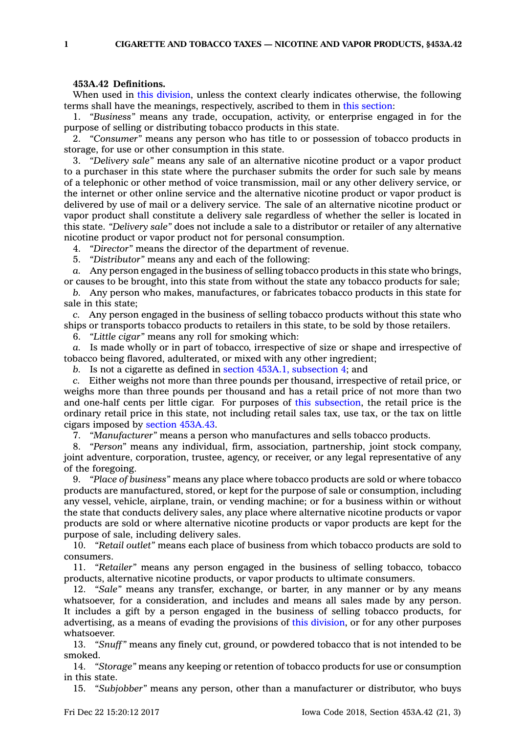**1 CIGARETTE AND TOBACCO TAXES — NICOTINE AND VAPOR PRODUCTS, §453A.42**

## **453A.42 Definitions.**

When used in this [division](https://www.legis.iowa.gov/docs/code//453A.pdf), unless the context clearly indicates otherwise, the following terms shall have the meanings, respectively, ascribed to them in this [section](https://www.legis.iowa.gov/docs/code/453A.42.pdf):

1. *"Business"* means any trade, occupation, activity, or enterprise engaged in for the purpose of selling or distributing tobacco products in this state.

2. *"Consumer"* means any person who has title to or possession of tobacco products in storage, for use or other consumption in this state.

3. *"Delivery sale"* means any sale of an alternative nicotine product or <sup>a</sup> vapor product to <sup>a</sup> purchaser in this state where the purchaser submits the order for such sale by means of <sup>a</sup> telephonic or other method of voice transmission, mail or any other delivery service, or the internet or other online service and the alternative nicotine product or vapor product is delivered by use of mail or <sup>a</sup> delivery service. The sale of an alternative nicotine product or vapor product shall constitute <sup>a</sup> delivery sale regardless of whether the seller is located in this state. *"Delivery sale"* does not include <sup>a</sup> sale to <sup>a</sup> distributor or retailer of any alternative nicotine product or vapor product not for personal consumption.

4. *"Director"* means the director of the department of revenue.

5. *"Distributor"* means any and each of the following:

*a.* Any person engaged in the business of selling tobacco products in this state who brings, or causes to be brought, into this state from without the state any tobacco products for sale;

*b.* Any person who makes, manufactures, or fabricates tobacco products in this state for sale in this state;

*c.* Any person engaged in the business of selling tobacco products without this state who ships or transports tobacco products to retailers in this state, to be sold by those retailers.

6. *"Little cigar"* means any roll for smoking which:

*a.* Is made wholly or in part of tobacco, irrespective of size or shape and irrespective of tobacco being flavored, adulterated, or mixed with any other ingredient;

*b.* Is not <sup>a</sup> cigarette as defined in section 453A.1, [subsection](https://www.legis.iowa.gov/docs/code/453A.1.pdf) 4; and

*c.* Either weighs not more than three pounds per thousand, irrespective of retail price, or weighs more than three pounds per thousand and has <sup>a</sup> retail price of not more than two and one-half cents per little cigar. For purposes of this [subsection](https://www.legis.iowa.gov/docs/code/453A.42.pdf), the retail price is the ordinary retail price in this state, not including retail sales tax, use tax, or the tax on little cigars imposed by section [453A.43](https://www.legis.iowa.gov/docs/code/453A.43.pdf).

7. *"Manufacturer"* means <sup>a</sup> person who manufactures and sells tobacco products.

8. *"Person"* means any individual, firm, association, partnership, joint stock company, joint adventure, corporation, trustee, agency, or receiver, or any legal representative of any of the foregoing.

9. *"Place of business"* means any place where tobacco products are sold or where tobacco products are manufactured, stored, or kept for the purpose of sale or consumption, including any vessel, vehicle, airplane, train, or vending machine; or for <sup>a</sup> business within or without the state that conducts delivery sales, any place where alternative nicotine products or vapor products are sold or where alternative nicotine products or vapor products are kept for the purpose of sale, including delivery sales.

10. *"Retail outlet"* means each place of business from which tobacco products are sold to consumers.

11. *"Retailer"* means any person engaged in the business of selling tobacco, tobacco products, alternative nicotine products, or vapor products to ultimate consumers.

12. *"Sale"* means any transfer, exchange, or barter, in any manner or by any means whatsoever, for <sup>a</sup> consideration, and includes and means all sales made by any person. It includes <sup>a</sup> gift by <sup>a</sup> person engaged in the business of selling tobacco products, for advertising, as <sup>a</sup> means of evading the provisions of this [division](https://www.legis.iowa.gov/docs/code//453A.pdf), or for any other purposes whatsoever.

13. *"Snuff"* means any finely cut, ground, or powdered tobacco that is not intended to be smoked.

14. *"Storage"* means any keeping or retention of tobacco products for use or consumption in this state.

15. *"Subjobber"* means any person, other than <sup>a</sup> manufacturer or distributor, who buys